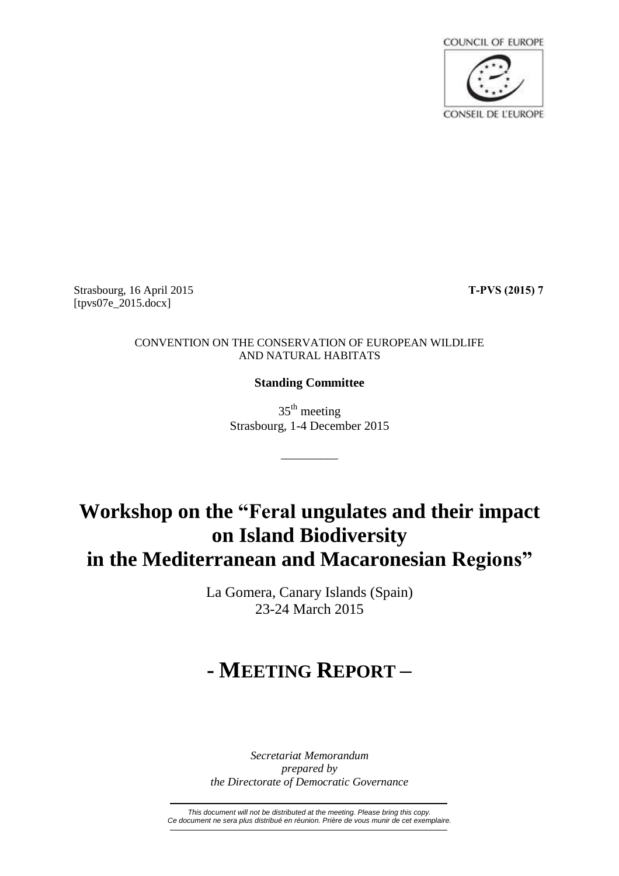

Strasbourg, 16 April 2015 **T-PVS (2015) 7** [tpvs07e\_2015.docx]

#### CONVENTION ON THE CONSERVATION OF EUROPEAN WILDLIFE AND NATURAL HABITATS

### **Standing Committee**

35<sup>th</sup> meeting Strasbourg, 1-4 December 2015

\_\_\_\_\_\_\_\_\_\_

## **Workshop on the "Feral ungulates and their impact on Island Biodiversity in the Mediterranean and Macaronesian Regions"**

La Gomera, Canary Islands (Spain) 23-24 March 2015

# **- MEETING REPORT –**

*Secretariat Memorandum prepared by the Directorate of Democratic Governance*

*This document will not be distributed at the meeting. Please bring this copy. Ce document ne sera plus distribué en réunion. Prière de vous munir de cet exemplaire.*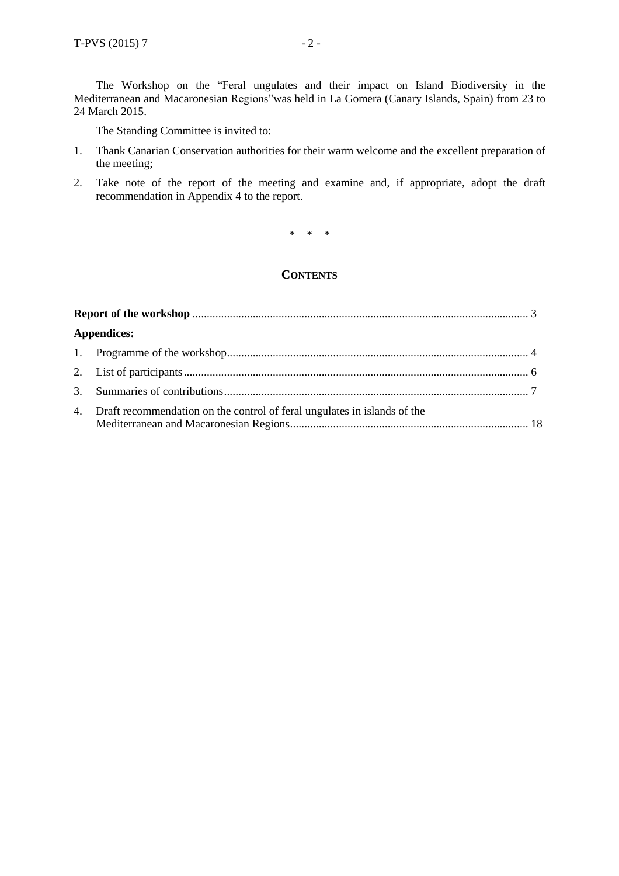The Workshop on the "Feral ungulates and their impact on Island Biodiversity in the Mediterranean and Macaronesian Regions"was held in La Gomera (Canary Islands, Spain) from 23 to 24 March 2015.

The Standing Committee is invited to:

- 1. Thank Canarian Conservation authorities for their warm welcome and the excellent preparation of the meeting;
- 2. Take note of the report of the meeting and examine and, if appropriate, adopt the draft recommendation in Appendix 4 to the report.

\* \* \*

#### **CONTENTS**

| <b>Appendices:</b> |                                                                             |  |
|--------------------|-----------------------------------------------------------------------------|--|
|                    |                                                                             |  |
|                    |                                                                             |  |
|                    |                                                                             |  |
|                    | 4. Draft recommendation on the control of feral ungulates in islands of the |  |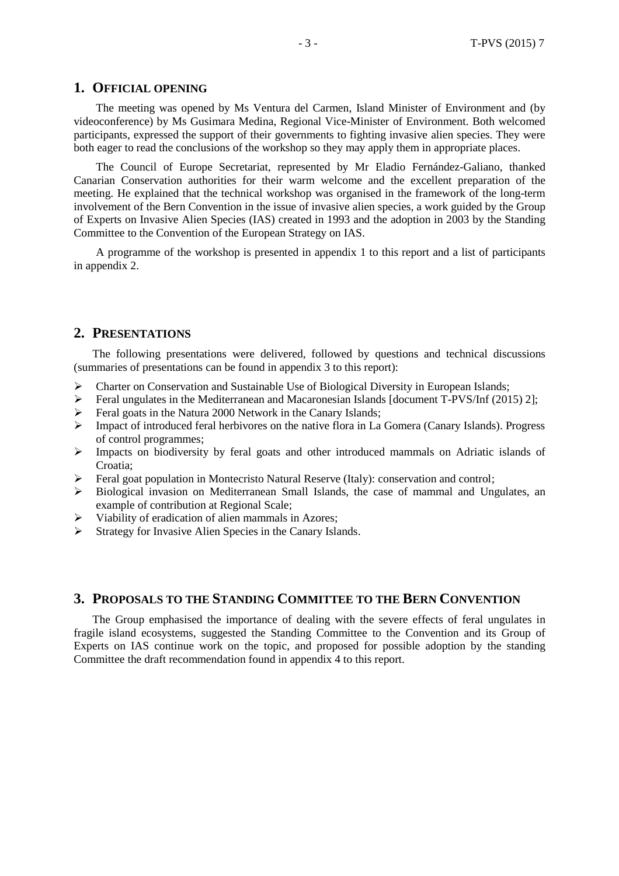#### **1. OFFICIAL OPENING**

The meeting was opened by Ms Ventura del Carmen, Island Minister of Environment and (by videoconference) by Ms Gusimara Medina, Regional Vice-Minister of Environment. Both welcomed participants, expressed the support of their governments to fighting invasive alien species. They were both eager to read the conclusions of the workshop so they may apply them in appropriate places.

The Council of Europe Secretariat, represented by Mr Eladio Fernández-Galiano, thanked Canarian Conservation authorities for their warm welcome and the excellent preparation of the meeting. He explained that the technical workshop was organised in the framework of the long-term involvement of the Bern Convention in the issue of invasive alien species, a work guided by the Group of Experts on Invasive Alien Species (IAS) created in 1993 and the adoption in 2003 by the Standing Committee to the Convention of the European Strategy on IAS.

A programme of the workshop is presented in appendix 1 to this report and a list of participants in appendix 2.

#### **2. PRESENTATIONS**

The following presentations were delivered, followed by questions and technical discussions (summaries of presentations can be found in appendix 3 to this report):

- $\triangleright$  Charter on Conservation and Sustainable Use of Biological Diversity in European Islands;
- $\triangleright$  Feral ungulates in the Mediterranean and Macaronesian Islands [document T-PVS/Inf (2015) 2];
- Feral goats in the Natura 2000 Network in the Canary Islands;
- $\triangleright$  Impact of introduced feral herbivores on the native flora in La Gomera (Canary Islands). Progress of control programmes;
- $\triangleright$  Impacts on biodiversity by feral goats and other introduced mammals on Adriatic islands of Croatia;
- $\triangleright$  Feral goat population in Montecristo Natural Reserve (Italy): conservation and control;
- Biological invasion on Mediterranean Small Islands, the case of mammal and Ungulates, an example of contribution at Regional Scale;
- $\triangleright$  Viability of eradication of alien mammals in Azores;
- $\triangleright$  Strategy for Invasive Alien Species in the Canary Islands.

#### **3. PROPOSALS TO THE STANDING COMMITTEE TO THE BERN CONVENTION**

The Group emphasised the importance of dealing with the severe effects of feral ungulates in fragile island ecosystems, suggested the Standing Committee to the Convention and its Group of Experts on IAS continue work on the topic, and proposed for possible adoption by the standing Committee the draft recommendation found in appendix 4 to this report.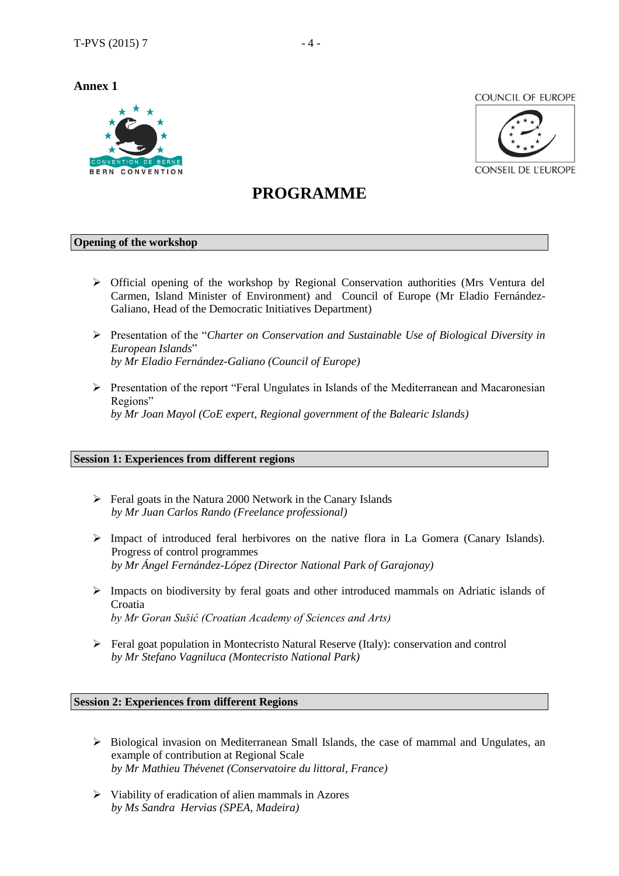**Annex 1**



**COUNCIL OF EUROPE** 



## **PROGRAMME**

#### **Opening of the workshop**

- $\triangleright$  Official opening of the workshop by Regional Conservation authorities (Mrs Ventura del Carmen, Island Minister of Environment) and Council of Europe (Mr Eladio Fernández-Galiano, Head of the Democratic Initiatives Department)
- Presentation of the "*Charter on Conservation and Sustainable Use of Biological Diversity in European Islands*" *by Mr Eladio Fernández-Galiano (Council of Europe)*
- $\triangleright$  Presentation of the report "Feral Ungulates in Islands of the Mediterranean and Macaronesian Regions" *by Mr Joan Mayol (CoE expert, Regional government of the Balearic Islands)*

#### **Session 1: Experiences from different regions**

- $\triangleright$  Feral goats in the Natura 2000 Network in the Canary Islands *by Mr Juan Carlos Rando (Freelance professional)*
- $\triangleright$  Impact of introduced feral herbivores on the native flora in La Gomera (Canary Islands). Progress of control programmes *by Mr Ángel Fernández-López (Director National Park of Garajonay)*
- $\triangleright$  Impacts on biodiversity by feral goats and other introduced mammals on Adriatic islands of Croatia *by Mr Goran Sušić (Croatian Academy of Sciences and Arts)*
- $\triangleright$  Feral goat population in Montecristo Natural Reserve (Italy): conservation and control *by Mr Stefano Vagniluca (Montecristo National Park)*

#### **Session 2: Experiences from different Regions**

- $\triangleright$  Biological invasion on Mediterranean Small Islands, the case of mammal and Ungulates, an example of contribution at Regional Scale *by Mr Mathieu Thévenet (Conservatoire du littoral, France)*
- $\triangleright$  Viability of eradication of alien mammals in Azores *by Ms Sandra Hervias (SPEA, Madeira)*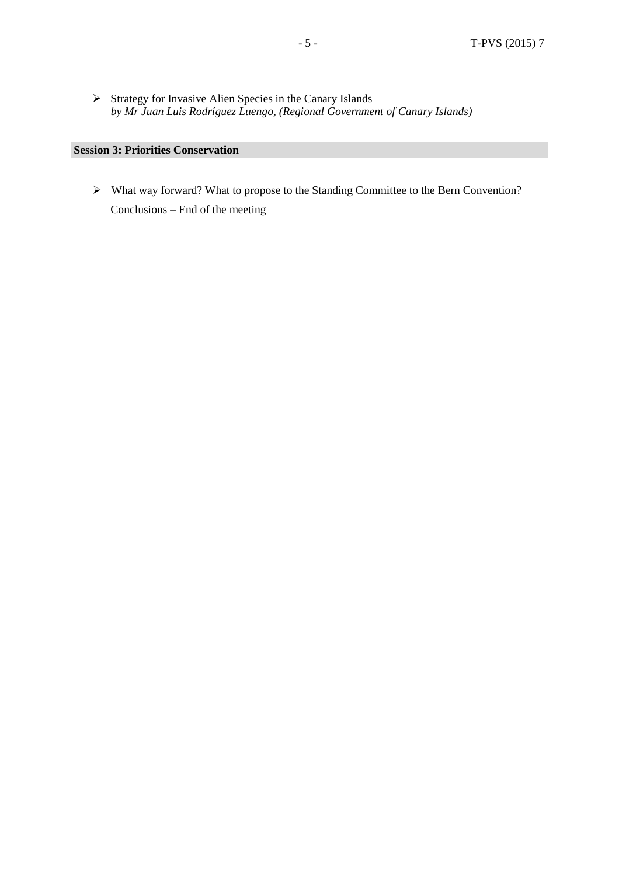Strategy for Invasive Alien Species in the Canary Islands *by Mr Juan Luis Rodríguez Luengo, (Regional Government of Canary Islands)*

## **Session 3: Priorities Conservation**

 What way forward? What to propose to the Standing Committee to the Bern Convention? Conclusions – End of the meeting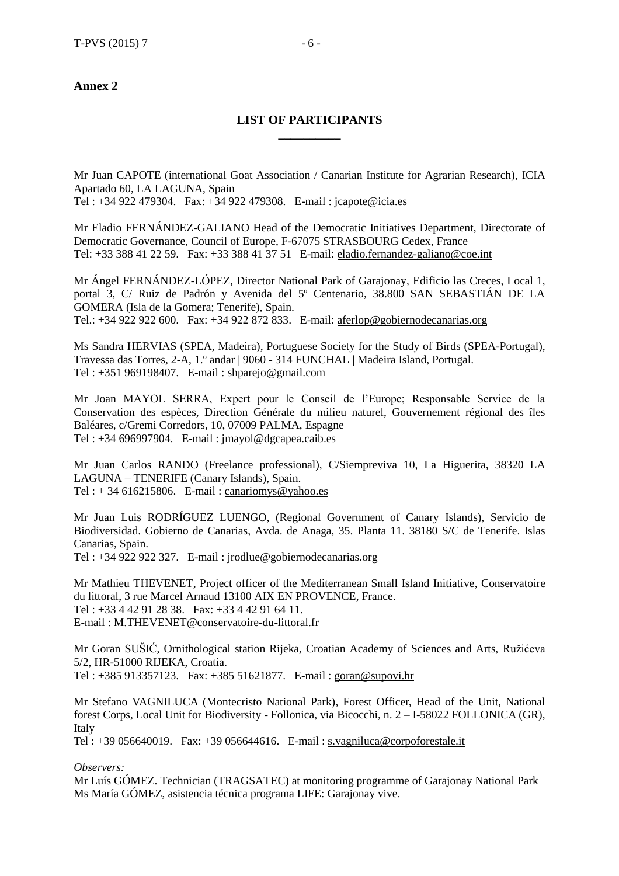#### **Annex 2**

### **LIST OF PARTICIPANTS \_\_\_\_\_\_\_\_\_\_**

Mr Juan CAPOTE (international Goat Association / Canarian Institute for Agrarian Research), ICIA Apartado 60, LA LAGUNA, Spain Tel : +34 922 479304. Fax: +34 922 479308. E-mail : [jcapote@icia.es](mailto:jcapote@icia.es)

Mr Eladio FERNÁNDEZ-GALIANO Head of the Democratic Initiatives Department, Directorate of

Democratic Governance, Council of Europe, F-67075 STRASBOURG Cedex, France Tel: +33 388 41 22 59. Fax: +33 388 41 37 51 E-mail: [eladio.fernandez-galiano@coe.int](mailto:eladio.fernandezgaliano@coe.fr)

Mr Ángel FERNÁNDEZ-LÓPEZ, Director National Park of Garajonay, Edificio las Creces, Local 1, portal 3, C/ Ruiz de Padrón y Avenida del 5º Centenario, 38.800 SAN SEBASTIÁN DE LA GOMERA (Isla de la Gomera; Tenerife), Spain. Tel.: +34 922 922 600. Fax: +34 922 872 833. E-mail: [aferlop@gobiernodecanarias.org](mailto:aferlop@gobiernodecanarias.org)

Ms Sandra HERVIAS (SPEA, Madeira), Portuguese Society for the Study of Birds (SPEA-Portugal), Travessa das Torres, 2-A, 1.º andar | 9060 - 314 FUNCHAL | Madeira Island, Portugal. Tel : +351 969198407. E-mail : [shparejo@gmail.com](mailto:shparejo@gmail.com)

Mr Joan MAYOL SERRA, Expert pour le Conseil de l'Europe; Responsable Service de la Conservation des espèces, Direction Générale du milieu naturel, Gouvernement régional des îles Baléares, c/Gremi Corredors, 10, 07009 PALMA, Espagne Tel : +34 696997904. E-mail : [jmayol@dgcapea.caib.es](mailto:jmayol@dgcapea.caib.es)

Mr Juan Carlos RANDO (Freelance professional), C/Siempreviva 10, La Higuerita, 38320 LA LAGUNA – TENERIFE (Canary Islands), Spain. Tel :  $+34$  616215806. E-mail : [canariomys@yahoo.es](mailto:canariomys@yahoo.es)

Mr Juan Luis RODRÍGUEZ LUENGO, (Regional Government of Canary Islands), Servicio de Biodiversidad. Gobierno de Canarias, Avda. de Anaga, 35. Planta 11. 38180 S/C de Tenerife. Islas Canarias, Spain.

Tel : +34 922 922 327. E-mail : [jrodlue@gobiernodecanarias.org](mailto:jrodlue@gobiernodecanarias.org)

Mr Mathieu THEVENET, Project officer of the Mediterranean Small Island Initiative, Conservatoire du littoral, 3 rue Marcel Arnaud 13100 AIX EN PROVENCE, France. Tel : +33 4 42 91 28 38. Fax: +33 4 42 91 64 11. E-mail : [M.THEVENET@conservatoire-du-littoral.fr](mailto:M.THEVENET@conservatoire-du-littoral.fr)

Mr Goran SUŠIĆ, Ornithological station Rijeka, Croatian Academy of Sciences and Arts, Ružićeva 5/2, HR-51000 RIJEKA, Croatia. Tel : +385 913357123. Fax: +385 51621877. E-mail : [goran@supovi.hr](mailto:goran@supovi.hr)

Mr Stefano VAGNILUCA (Montecristo National Park), Forest Officer, Head of the Unit, National forest Corps, Local Unit for Biodiversity - Follonica, via Bicocchi, n. 2 – I-58022 FOLLONICA (GR), Italy

Tel : +39 056640019. Fax: +39 056644616. E-mail : [s.vagniluca@corpoforestale.it](mailto:s.vagniluca@corpoforestale.it)

*Observers:*

Mr Luís GÓMEZ. Technician (TRAGSATEC) at monitoring programme of Garajonay National Park Ms María GÓMEZ, asistencia técnica programa LIFE: Garajonay vive.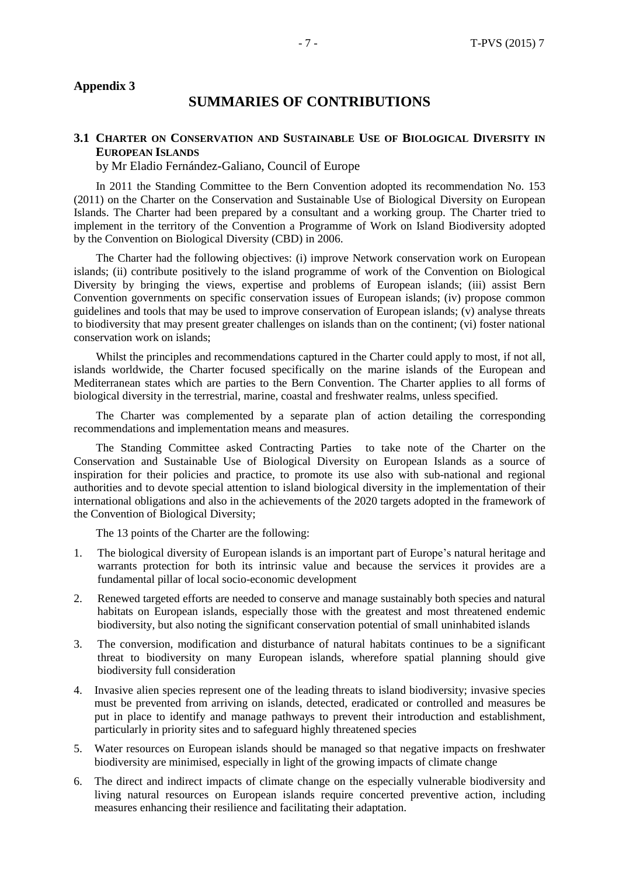## **SUMMARIES OF CONTRIBUTIONS**

#### **3.1 CHARTER ON CONSERVATION AND SUSTAINABLE USE OF BIOLOGICAL DIVERSITY IN EUROPEAN ISLANDS**

by Mr Eladio Fernández-Galiano, Council of Europe

In 2011 the Standing Committee to the Bern Convention adopted its recommendation No. 153 (2011) on the Charter on the Conservation and Sustainable Use of Biological Diversity on European Islands. The Charter had been prepared by a consultant and a working group. The Charter tried to implement in the territory of the Convention a Programme of Work on Island Biodiversity adopted by the Convention on Biological Diversity (CBD) in 2006.

The Charter had the following objectives: (i) improve Network conservation work on European islands; (ii) contribute positively to the island programme of work of the Convention on Biological Diversity by bringing the views, expertise and problems of European islands; (iii) assist Bern Convention governments on specific conservation issues of European islands; (iv) propose common guidelines and tools that may be used to improve conservation of European islands; (v) analyse threats to biodiversity that may present greater challenges on islands than on the continent; (vi) foster national conservation work on islands;

Whilst the principles and recommendations captured in the Charter could apply to most, if not all, islands worldwide, the Charter focused specifically on the marine islands of the European and Mediterranean states which are parties to the Bern Convention. The Charter applies to all forms of biological diversity in the terrestrial, marine, coastal and freshwater realms, unless specified.

The Charter was complemented by a separate plan of action detailing the corresponding recommendations and implementation means and measures.

The Standing Committee asked Contracting Parties to take note of the Charter on the Conservation and Sustainable Use of Biological Diversity on European Islands as a source of inspiration for their policies and practice, to promote its use also with sub-national and regional authorities and to devote special attention to island biological diversity in the implementation of their international obligations and also in the achievements of the 2020 targets adopted in the framework of the Convention of Biological Diversity;

The 13 points of the Charter are the following:

- 1. The biological diversity of European islands is an important part of Europe's natural heritage and warrants protection for both its intrinsic value and because the services it provides are a fundamental pillar of local socio-economic development
- 2. Renewed targeted efforts are needed to conserve and manage sustainably both species and natural habitats on European islands, especially those with the greatest and most threatened endemic biodiversity, but also noting the significant conservation potential of small uninhabited islands
- 3. The conversion, modification and disturbance of natural habitats continues to be a significant threat to biodiversity on many European islands, wherefore spatial planning should give biodiversity full consideration
- 4. Invasive alien species represent one of the leading threats to island biodiversity; invasive species must be prevented from arriving on islands, detected, eradicated or controlled and measures be put in place to identify and manage pathways to prevent their introduction and establishment, particularly in priority sites and to safeguard highly threatened species
- 5. Water resources on European islands should be managed so that negative impacts on freshwater biodiversity are minimised, especially in light of the growing impacts of climate change
- 6. The direct and indirect impacts of climate change on the especially vulnerable biodiversity and living natural resources on European islands require concerted preventive action, including measures enhancing their resilience and facilitating their adaptation.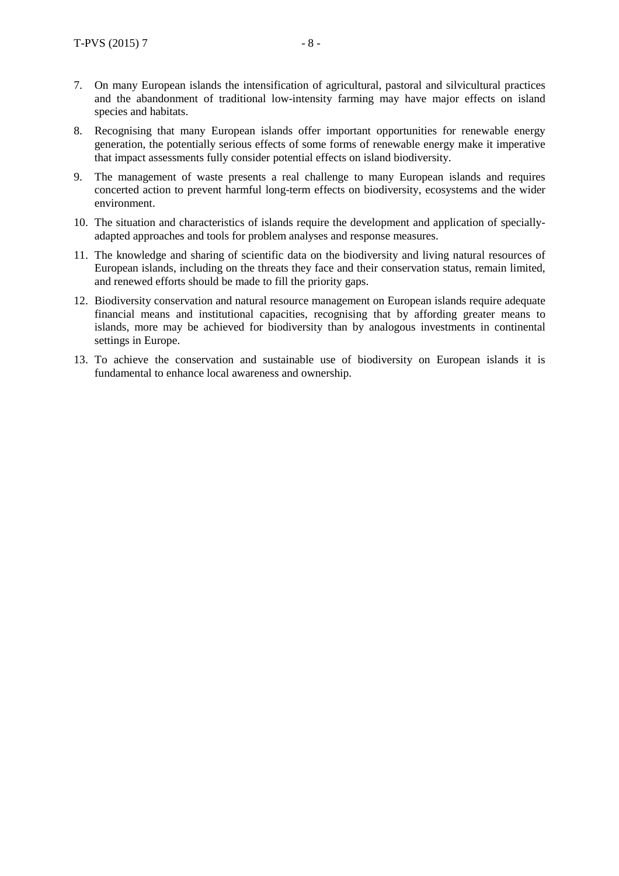- 7. On many European islands the intensification of agricultural, pastoral and silvicultural practices and the abandonment of traditional low-intensity farming may have major effects on island species and habitats.
- 8. Recognising that many European islands offer important opportunities for renewable energy generation, the potentially serious effects of some forms of renewable energy make it imperative that impact assessments fully consider potential effects on island biodiversity.
- 9. The management of waste presents a real challenge to many European islands and requires concerted action to prevent harmful long-term effects on biodiversity, ecosystems and the wider environment.
- 10. The situation and characteristics of islands require the development and application of speciallyadapted approaches and tools for problem analyses and response measures.
- 11. The knowledge and sharing of scientific data on the biodiversity and living natural resources of European islands, including on the threats they face and their conservation status, remain limited, and renewed efforts should be made to fill the priority gaps.
- 12. Biodiversity conservation and natural resource management on European islands require adequate financial means and institutional capacities, recognising that by affording greater means to islands, more may be achieved for biodiversity than by analogous investments in continental settings in Europe.
- 13. To achieve the conservation and sustainable use of biodiversity on European islands it is fundamental to enhance local awareness and ownership.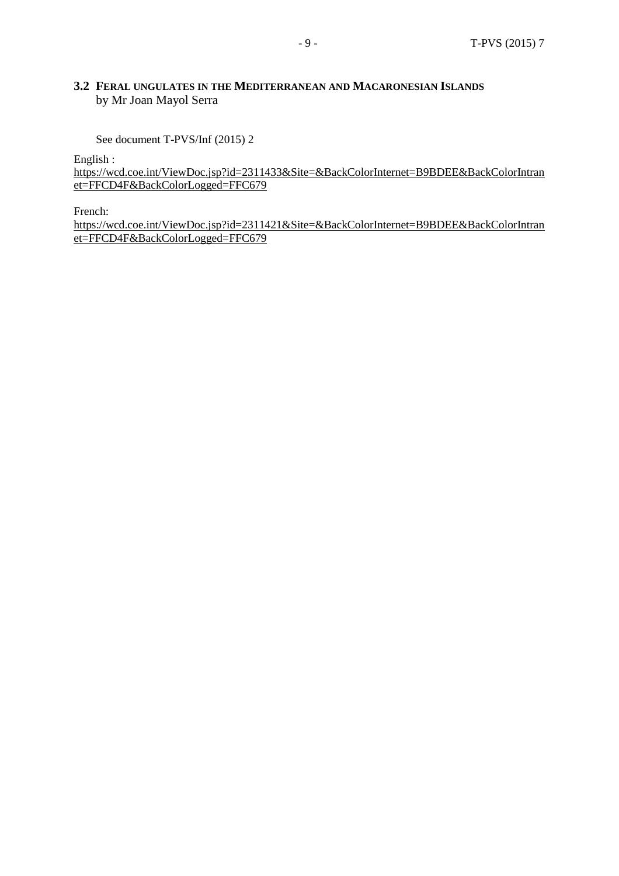#### **3.2 FERAL UNGULATES IN THE MEDITERRANEAN AND MACARONESIAN ISLANDS** by Mr Joan Mayol Serra

See document T-PVS/Inf (2015) 2

English :

[https://wcd.coe.int/ViewDoc.jsp?id=2311433&Site=&BackColorInternet=B9BDEE&BackColorIntran](https://wcd.coe.int/ViewDoc.jsp?id=2311433&Site=&BackColorInternet=B9BDEE&BackColorIntranet=FFCD4F&BackColorLogged=FFC679) [et=FFCD4F&BackColorLogged=FFC679](https://wcd.coe.int/ViewDoc.jsp?id=2311433&Site=&BackColorInternet=B9BDEE&BackColorIntranet=FFCD4F&BackColorLogged=FFC679)

French:

[https://wcd.coe.int/ViewDoc.jsp?id=2311421&Site=&BackColorInternet=B9BDEE&BackColorIntran](https://wcd.coe.int/ViewDoc.jsp?id=2311421&Site=&BackColorInternet=B9BDEE&BackColorIntranet=FFCD4F&BackColorLogged=FFC679) [et=FFCD4F&BackColorLogged=FFC679](https://wcd.coe.int/ViewDoc.jsp?id=2311421&Site=&BackColorInternet=B9BDEE&BackColorIntranet=FFCD4F&BackColorLogged=FFC679)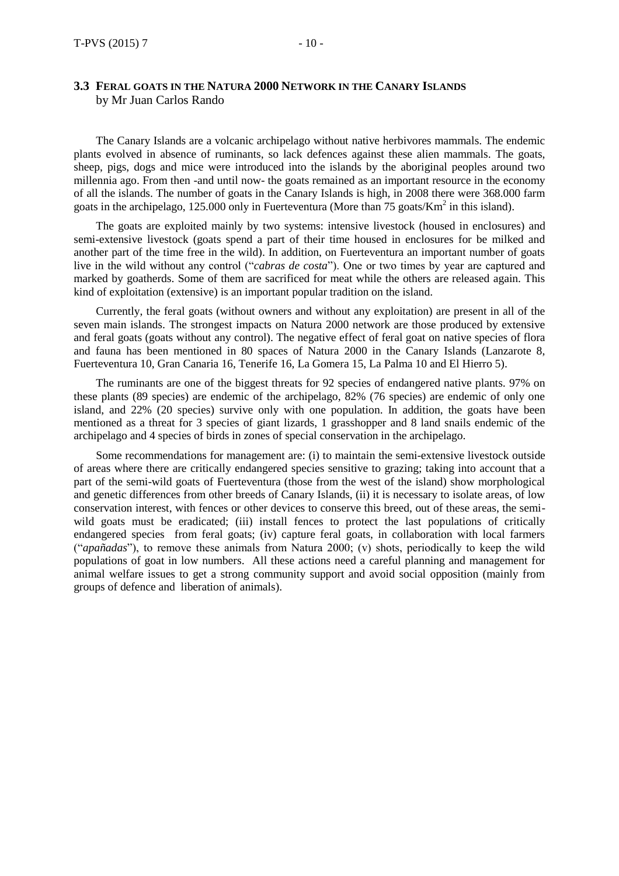The Canary Islands are a volcanic archipelago without native herbivores mammals. The endemic plants evolved in absence of ruminants, so lack defences against these alien mammals. The goats, sheep, pigs, dogs and mice were introduced into the islands by the aboriginal peoples around two millennia ago. From then -and until now- the goats remained as an important resource in the economy of all the islands. The number of goats in the Canary Islands is high, in 2008 there were 368.000 farm goats in the archipelago, 125.000 only in Fuerteventura (More than 75 goats/ $Km<sup>2</sup>$  in this island).

The goats are exploited mainly by two systems: intensive livestock (housed in enclosures) and semi-extensive livestock (goats spend a part of their time housed in enclosures for be milked and another part of the time free in the wild). In addition, on Fuerteventura an important number of goats live in the wild without any control ("*cabras de costa*"). One or two times by year are captured and marked by goatherds. Some of them are sacrificed for meat while the others are released again. This kind of exploitation (extensive) is an important popular tradition on the island.

Currently, the feral goats (without owners and without any exploitation) are present in all of the seven main islands. The strongest impacts on Natura 2000 network are those produced by extensive and feral goats (goats without any control). The negative effect of feral goat on native species of flora and fauna has been mentioned in 80 spaces of Natura 2000 in the Canary Islands (Lanzarote 8, Fuerteventura 10, Gran Canaria 16, Tenerife 16, La Gomera 15, La Palma 10 and El Hierro 5).

The ruminants are one of the biggest threats for 92 species of endangered native plants. 97% on these plants (89 species) are endemic of the archipelago, 82% (76 species) are endemic of only one island, and 22% (20 species) survive only with one population. In addition, the goats have been mentioned as a threat for 3 species of giant lizards, 1 grasshopper and 8 land snails endemic of the archipelago and 4 species of birds in zones of special conservation in the archipelago.

Some recommendations for management are: (i) to maintain the semi-extensive livestock outside of areas where there are critically endangered species sensitive to grazing; taking into account that a part of the semi-wild goats of Fuerteventura (those from the west of the island) show morphological and genetic differences from other breeds of Canary Islands, (ii) it is necessary to isolate areas, of low conservation interest, with fences or other devices to conserve this breed, out of these areas, the semiwild goats must be eradicated; (iii) install fences to protect the last populations of critically endangered species from feral goats; (iv) capture feral goats, in collaboration with local farmers ("*apañadas*"), to remove these animals from Natura 2000; (v) shots, periodically to keep the wild populations of goat in low numbers. All these actions need a careful planning and management for animal welfare issues to get a strong community support and avoid social opposition (mainly from groups of defence and liberation of animals).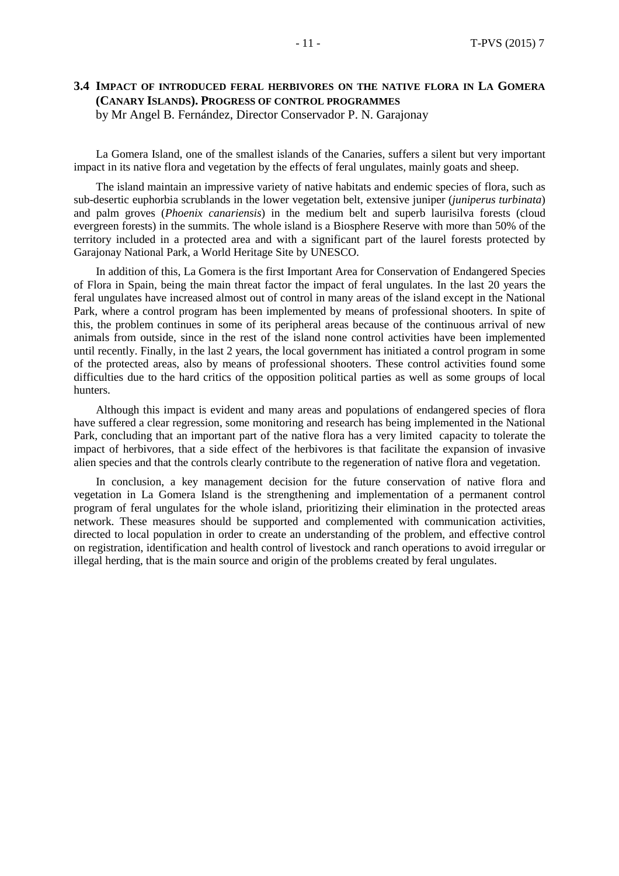#### **3.4 IMPACT OF INTRODUCED FERAL HERBIVORES ON THE NATIVE FLORA IN LA GOMERA (CANARY ISLANDS). PROGRESS OF CONTROL PROGRAMMES** by Mr Angel B. Fernández, Director Conservador P. N. Garajonay

La Gomera Island, one of the smallest islands of the Canaries, suffers a silent but very important impact in its native flora and vegetation by the effects of feral ungulates, mainly goats and sheep.

The island maintain an impressive variety of native habitats and endemic species of flora, such as sub-desertic euphorbia scrublands in the lower vegetation belt, extensive juniper (*juniperus turbinata*) and palm groves (*Phoenix canariensis*) in the medium belt and superb laurisilva forests (cloud evergreen forests) in the summits. The whole island is a Biosphere Reserve with more than 50% of the territory included in a protected area and with a significant part of the laurel forests protected by Garajonay National Park, a World Heritage Site by UNESCO.

In addition of this, La Gomera is the first Important Area for Conservation of Endangered Species of Flora in Spain, being the main threat factor the impact of feral ungulates. In the last 20 years the feral ungulates have increased almost out of control in many areas of the island except in the National Park, where a control program has been implemented by means of professional shooters. In spite of this, the problem continues in some of its peripheral areas because of the continuous arrival of new animals from outside, since in the rest of the island none control activities have been implemented until recently. Finally, in the last 2 years, the local government has initiated a control program in some of the protected areas, also by means of professional shooters. These control activities found some difficulties due to the hard critics of the opposition political parties as well as some groups of local hunters.

Although this impact is evident and many areas and populations of endangered species of flora have suffered a clear regression, some monitoring and research has being implemented in the National Park, concluding that an important part of the native flora has a very limited capacity to tolerate the impact of herbivores, that a side effect of the herbivores is that facilitate the expansion of invasive alien species and that the controls clearly contribute to the regeneration of native flora and vegetation.

In conclusion, a key management decision for the future conservation of native flora and vegetation in La Gomera Island is the strengthening and implementation of a permanent control program of feral ungulates for the whole island, prioritizing their elimination in the protected areas network. These measures should be supported and complemented with communication activities, directed to local population in order to create an understanding of the problem, and effective control on registration, identification and health control of livestock and ranch operations to avoid irregular or illegal herding, that is the main source and origin of the problems created by feral ungulates.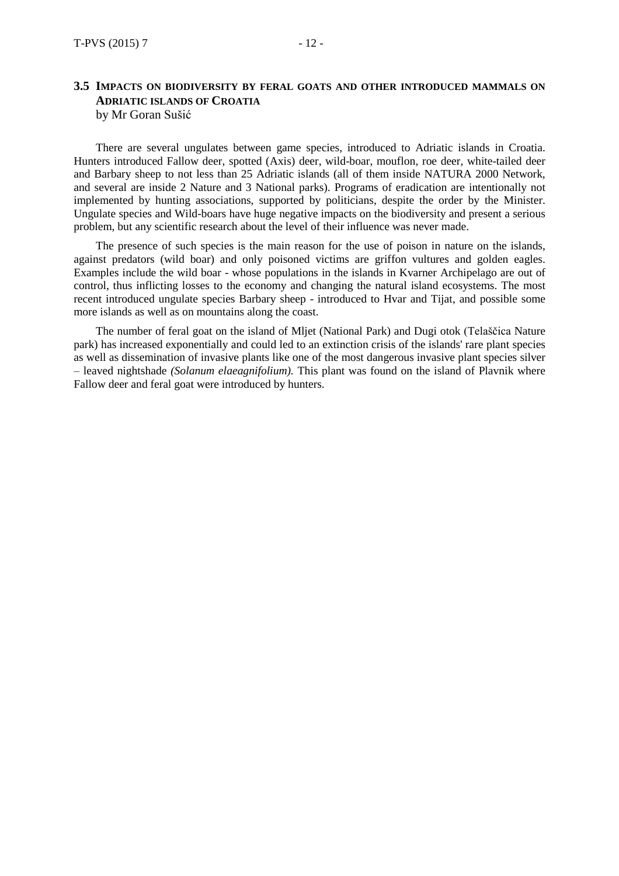#### **3.5 IMPACTS ON BIODIVERSITY BY FERAL GOATS AND OTHER INTRODUCED MAMMALS ON ADRIATIC ISLANDS OF CROATIA** by Mr Goran Sušić

There are several ungulates between game species, introduced to Adriatic islands in Croatia. Hunters introduced Fallow deer, spotted (Axis) deer, wild-boar, mouflon, roe deer, white-tailed deer and Barbary sheep to not less than 25 Adriatic islands (all of them inside NATURA 2000 Network, and several are inside 2 Nature and 3 National parks). Programs of eradication are intentionally not implemented by hunting associations, supported by politicians, despite the order by the Minister. Ungulate species and Wild-boars have huge negative impacts on the biodiversity and present a serious problem, but any scientific research about the level of their influence was never made.

The presence of such species is the main reason for the use of poison in nature on the islands, against predators (wild boar) and only poisoned victims are griffon vultures and golden eagles. Examples include the wild boar - whose populations in the islands in Kvarner Archipelago are out of control, thus inflicting losses to the economy and changing the natural island ecosystems. The most recent introduced ungulate species Barbary sheep - introduced to Hvar and Tijat, and possible some more islands as well as on mountains along the coast.

The number of feral goat on the island of Mljet (National Park) and Dugi otok (Telaščica Nature park) has increased exponentially and could led to an extinction crisis of the islands' rare plant species as well as dissemination of invasive plants like one of the most dangerous invasive plant species silver – leaved nightshade *(Solanum elaeagnifolium).* This plant was found on the island of Plavnik where Fallow deer and feral goat were introduced by hunters.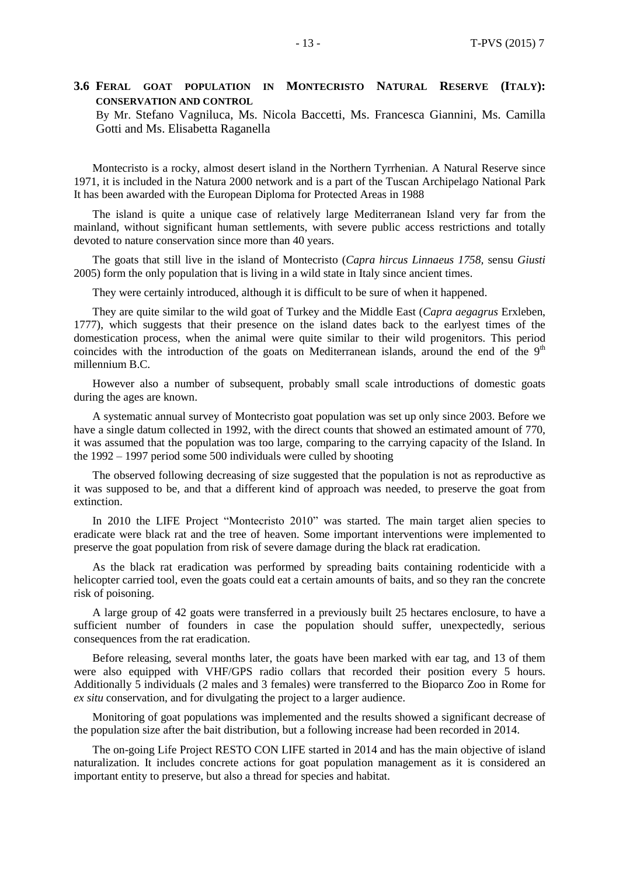#### **3.6 FERAL GOAT POPULATION IN MONTECRISTO NATURAL RESERVE (ITALY): CONSERVATION AND CONTROL**

By Mr. Stefano Vagniluca, Ms. Nicola Baccetti, Ms. Francesca Giannini, Ms. Camilla Gotti and Ms. Elisabetta Raganella

Montecristo is a rocky, almost desert island in the Northern Tyrrhenian. A Natural Reserve since 1971, it is included in the Natura 2000 network and is a part of the Tuscan Archipelago National Park It has been awarded with the European Diploma for Protected Areas in 1988

The island is quite a unique case of relatively large Mediterranean Island very far from the mainland, without significant human settlements, with severe public access restrictions and totally devoted to nature conservation since more than 40 years.

The goats that still live in the island of Montecristo (*Capra hircus Linnaeus 1758,* sensu *Giusti* 2005) form the only population that is living in a wild state in Italy since ancient times.

They were certainly introduced, although it is difficult to be sure of when it happened.

They are quite similar to the wild goat of Turkey and the Middle East (*Capra aegagrus* Erxleben, 1777), which suggests that their presence on the island dates back to the earlyest times of the domestication process, when the animal were quite similar to their wild progenitors. This period coincides with the introduction of the goats on Mediterranean islands, around the end of the  $9<sup>th</sup>$ millennium B.C.

However also a number of subsequent, probably small scale introductions of domestic goats during the ages are known.

A systematic annual survey of Montecristo goat population was set up only since 2003. Before we have a single datum collected in 1992, with the direct counts that showed an estimated amount of 770, it was assumed that the population was too large, comparing to the carrying capacity of the Island. In the 1992 – 1997 period some 500 individuals were culled by shooting

The observed following decreasing of size suggested that the population is not as reproductive as it was supposed to be, and that a different kind of approach was needed, to preserve the goat from extinction.

In 2010 the LIFE Project "Montecristo 2010" was started. The main target alien species to eradicate were black rat and the tree of heaven. Some important interventions were implemented to preserve the goat population from risk of severe damage during the black rat eradication.

As the black rat eradication was performed by spreading baits containing rodenticide with a helicopter carried tool, even the goats could eat a certain amounts of baits, and so they ran the concrete risk of poisoning.

A large group of 42 goats were transferred in a previously built 25 hectares enclosure, to have a sufficient number of founders in case the population should suffer, unexpectedly, serious consequences from the rat eradication.

Before releasing, several months later, the goats have been marked with ear tag, and 13 of them were also equipped with VHF/GPS radio collars that recorded their position every 5 hours. Additionally 5 individuals (2 males and 3 females) were transferred to the Bioparco Zoo in Rome for *ex situ* conservation, and for divulgating the project to a larger audience.

Monitoring of goat populations was implemented and the results showed a significant decrease of the population size after the bait distribution, but a following increase had been recorded in 2014.

The on-going Life Project RESTO CON LIFE started in 2014 and has the main objective of island naturalization. It includes concrete actions for goat population management as it is considered an important entity to preserve, but also a thread for species and habitat.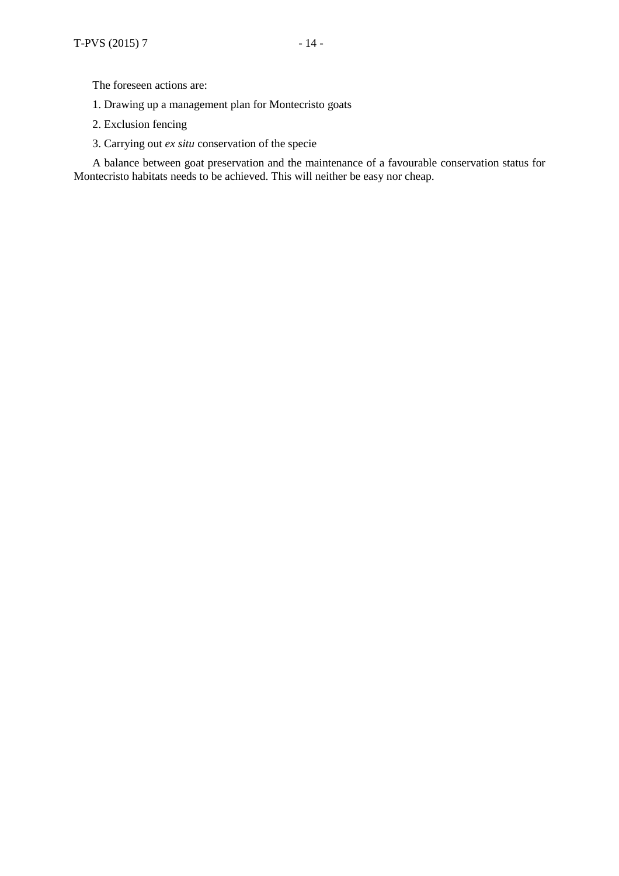The foreseen actions are:

- 1. Drawing up a management plan for Montecristo goats
- 2. Exclusion fencing
- 3. Carrying out *ex situ* conservation of the specie

A balance between goat preservation and the maintenance of a favourable conservation status for Montecristo habitats needs to be achieved. This will neither be easy nor cheap.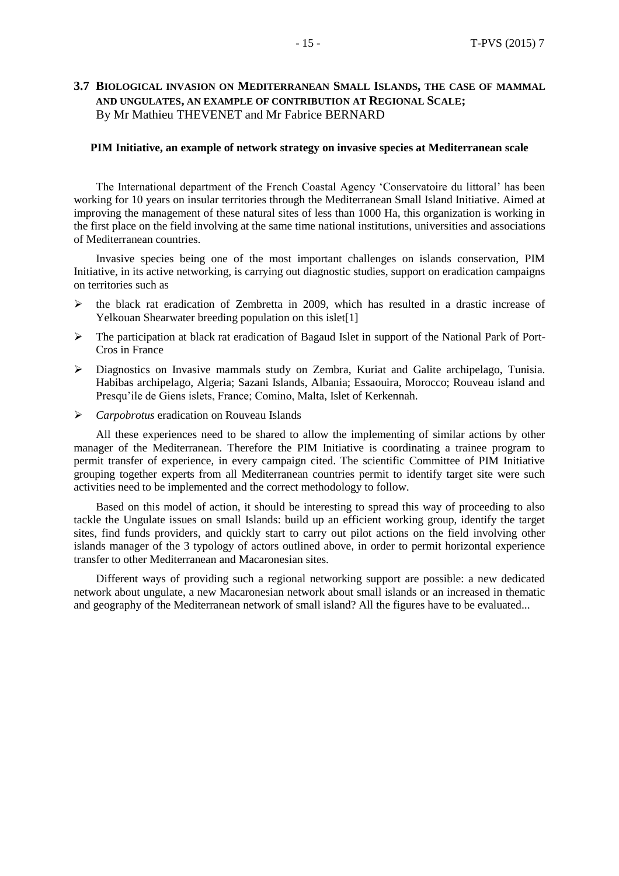#### **3.7 BIOLOGICAL INVASION ON MEDITERRANEAN SMALL ISLANDS, THE CASE OF MAMMAL AND UNGULATES, AN EXAMPLE OF CONTRIBUTION AT REGIONAL SCALE;** By Mr Mathieu THEVENET and Mr Fabrice BERNARD

#### **PIM Initiative, an example of network strategy on invasive species at Mediterranean scale**

The International department of the French Coastal Agency 'Conservatoire du littoral' has been working for 10 years on insular territories through the Mediterranean Small Island Initiative. Aimed at improving the management of these natural sites of less than 1000 Ha, this organization is working in the first place on the field involving at the same time national institutions, universities and associations of Mediterranean countries.

Invasive species being one of the most important challenges on islands conservation, PIM Initiative, in its active networking, is carrying out diagnostic studies, support on eradication campaigns on territories such as

- $\triangleright$  the black rat eradication of Zembretta in 2009, which has resulted in a drastic increase of Yelkouan Shearwater breeding population on this islet<sup>[1]</sup>
- The participation at black rat eradication of Bagaud Islet in support of the National Park of Port-Cros in France
- Diagnostics on Invasive mammals study on Zembra, Kuriat and Galite archipelago, Tunisia. Habibas archipelago, Algeria; Sazani Islands, Albania; Essaouira, Morocco; Rouveau island and Presqu'ile de Giens islets, France; Comino, Malta, Islet of Kerkennah.
- *Carpobrotus* eradication on Rouveau Islands

All these experiences need to be shared to allow the implementing of similar actions by other manager of the Mediterranean. Therefore the PIM Initiative is coordinating a trainee program to permit transfer of experience, in every campaign cited. The scientific Committee of PIM Initiative grouping together experts from all Mediterranean countries permit to identify target site were such activities need to be implemented and the correct methodology to follow.

Based on this model of action, it should be interesting to spread this way of proceeding to also tackle the Ungulate issues on small Islands: build up an efficient working group, identify the target sites, find funds providers, and quickly start to carry out pilot actions on the field involving other islands manager of the 3 typology of actors outlined above, in order to permit horizontal experience transfer to other Mediterranean and Macaronesian sites.

Different ways of providing such a regional networking support are possible: a new dedicated network about ungulate, a new Macaronesian network about small islands or an increased in thematic and geography of the Mediterranean network of small island? All the figures have to be evaluated...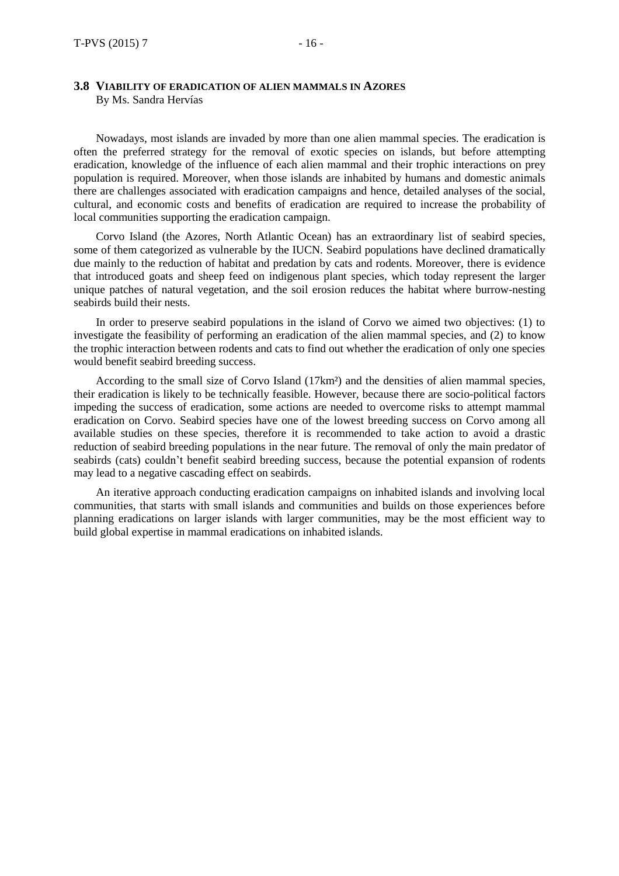Nowadays, most islands are invaded by more than one alien mammal species. The eradication is often the preferred strategy for the removal of exotic species on islands, but before attempting eradication, knowledge of the influence of each alien mammal and their trophic interactions on prey population is required. Moreover, when those islands are inhabited by humans and domestic animals there are challenges associated with eradication campaigns and hence, detailed analyses of the social, cultural, and economic costs and benefits of eradication are required to increase the probability of local communities supporting the eradication campaign.

Corvo Island (the Azores, North Atlantic Ocean) has an extraordinary list of seabird species, some of them categorized as vulnerable by the IUCN. Seabird populations have declined dramatically due mainly to the reduction of habitat and predation by cats and rodents. Moreover, there is evidence that introduced goats and sheep feed on indigenous plant species, which today represent the larger unique patches of natural vegetation, and the soil erosion reduces the habitat where burrow-nesting seabirds build their nests.

In order to preserve seabird populations in the island of Corvo we aimed two objectives: (1) to investigate the feasibility of performing an eradication of the alien mammal species, and (2) to know the trophic interaction between rodents and cats to find out whether the eradication of only one species would benefit seabird breeding success.

According to the small size of Corvo Island (17km²) and the densities of alien mammal species, their eradication is likely to be technically feasible. However, because there are socio-political factors impeding the success of eradication, some actions are needed to overcome risks to attempt mammal eradication on Corvo. Seabird species have one of the lowest breeding success on Corvo among all available studies on these species, therefore it is recommended to take action to avoid a drastic reduction of seabird breeding populations in the near future. The removal of only the main predator of seabirds (cats) couldn't benefit seabird breeding success, because the potential expansion of rodents may lead to a negative cascading effect on seabirds.

An iterative approach conducting eradication campaigns on inhabited islands and involving local communities, that starts with small islands and communities and builds on those experiences before planning eradications on larger islands with larger communities, may be the most efficient way to build global expertise in mammal eradications on inhabited islands.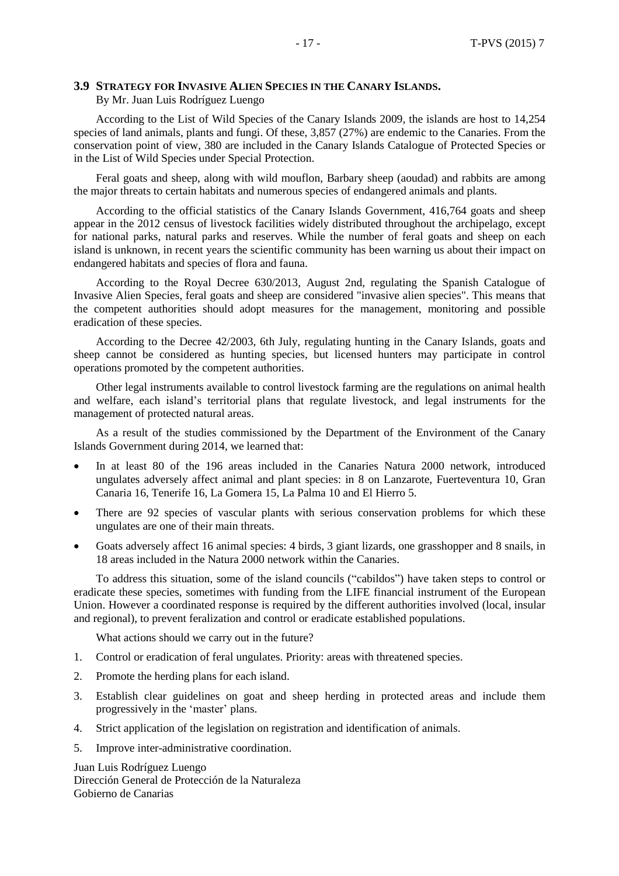#### **3.9 STRATEGY FOR INVASIVE ALIEN SPECIES IN THE CANARY ISLANDS.**

By Mr. Juan Luis Rodríguez Luengo

According to the List of Wild Species of the Canary Islands 2009, the islands are host to 14,254 species of land animals, plants and fungi. Of these, 3,857 (27%) are endemic to the Canaries. From the conservation point of view, 380 are included in the Canary Islands Catalogue of Protected Species or in the List of Wild Species under Special Protection.

Feral goats and sheep, along with wild mouflon, Barbary sheep (aoudad) and rabbits are among the major threats to certain habitats and numerous species of endangered animals and plants.

According to the official statistics of the Canary Islands Government, 416,764 goats and sheep appear in the 2012 census of livestock facilities widely distributed throughout the archipelago, except for national parks, natural parks and reserves. While the number of feral goats and sheep on each island is unknown, in recent years the scientific community has been warning us about their impact on endangered habitats and species of flora and fauna.

According to the Royal Decree 630/2013, August 2nd, regulating the Spanish Catalogue of Invasive Alien Species, feral goats and sheep are considered "invasive alien species". This means that the competent authorities should adopt measures for the management, monitoring and possible eradication of these species.

According to the Decree 42/2003, 6th July, regulating hunting in the Canary Islands, goats and sheep cannot be considered as hunting species, but licensed hunters may participate in control operations promoted by the competent authorities.

Other legal instruments available to control livestock farming are the regulations on animal health and welfare, each island's territorial plans that regulate livestock, and legal instruments for the management of protected natural areas.

As a result of the studies commissioned by the Department of the Environment of the Canary Islands Government during 2014, we learned that:

- In at least 80 of the 196 areas included in the Canaries Natura 2000 network, introduced ungulates adversely affect animal and plant species: in 8 on Lanzarote, Fuerteventura 10, Gran Canaria 16, Tenerife 16, La Gomera 15, La Palma 10 and El Hierro 5.
- There are 92 species of vascular plants with serious conservation problems for which these ungulates are one of their main threats.
- Goats adversely affect 16 animal species: 4 birds, 3 giant lizards, one grasshopper and 8 snails, in 18 areas included in the Natura 2000 network within the Canaries.

To address this situation, some of the island councils ("cabildos") have taken steps to control or eradicate these species, sometimes with funding from the LIFE financial instrument of the European Union. However a coordinated response is required by the different authorities involved (local, insular and regional), to prevent feralization and control or eradicate established populations.

What actions should we carry out in the future?

- 1. Control or eradication of feral ungulates. Priority: areas with threatened species.
- 2. Promote the herding plans for each island.
- 3. Establish clear guidelines on goat and sheep herding in protected areas and include them progressively in the 'master' plans.
- 4. Strict application of the legislation on registration and identification of animals.
- 5. Improve inter-administrative coordination.

Juan Luis Rodríguez Luengo Dirección General de Protección de la Naturaleza Gobierno de Canarias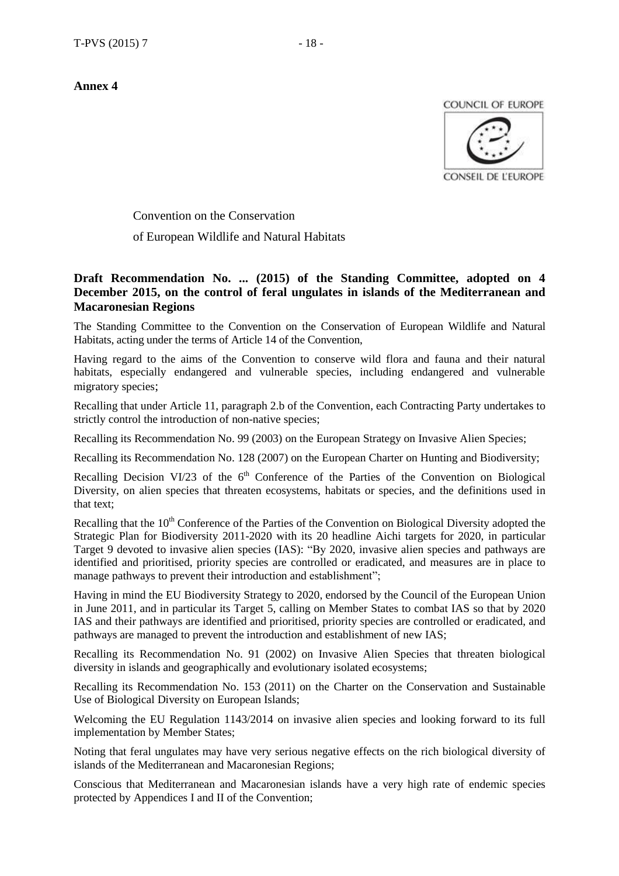**Annex 4**

COUNCIL OF EUROPE



Convention on the Conservation

of European Wildlife and Natural Habitats

#### **Draft Recommendation No. ... (2015) of the Standing Committee, adopted on 4 December 2015, on the control of feral ungulates in islands of the Mediterranean and Macaronesian Regions**

The Standing Committee to the Convention on the Conservation of European Wildlife and Natural Habitats, acting under the terms of Article 14 of the Convention,

Having regard to the aims of the Convention to conserve wild flora and fauna and their natural habitats, especially endangered and vulnerable species, including endangered and vulnerable migratory species;

Recalling that under Article 11, paragraph 2.b of the Convention, each Contracting Party undertakes to strictly control the introduction of non-native species;

Recalling its Recommendation No. 99 (2003) on the European Strategy on Invasive Alien Species;

Recalling its Recommendation No. 128 (2007) on the European Charter on Hunting and Biodiversity;

Recalling Decision VI/23 of the  $6<sup>th</sup>$  Conference of the Parties of the Convention on Biological Diversity, on alien species that threaten ecosystems, habitats or species, and the definitions used in that text;

Recalling that the 10<sup>th</sup> Conference of the Parties of the Convention on Biological Diversity adopted the Strategic Plan for Biodiversity 2011-2020 with its 20 headline Aichi targets for 2020, in particular Target 9 devoted to invasive alien species (IAS): "By 2020, invasive alien species and pathways are identified and prioritised, priority species are controlled or eradicated, and measures are in place to manage pathways to prevent their introduction and establishment";

Having in mind the EU Biodiversity Strategy to 2020, endorsed by the Council of the European Union in June 2011, and in particular its Target 5, calling on Member States to combat IAS so that by 2020 IAS and their pathways are identified and prioritised, priority species are controlled or eradicated, and pathways are managed to prevent the introduction and establishment of new IAS;

Recalling its Recommendation No. 91 (2002) on Invasive Alien Species that threaten biological diversity in islands and geographically and evolutionary isolated ecosystems;

Recalling its Recommendation No. 153 (2011) on the Charter on the Conservation and Sustainable Use of Biological Diversity on European Islands;

Welcoming the EU Regulation 1143/2014 on invasive alien species and looking forward to its full implementation by Member States;

Noting that feral ungulates may have very serious negative effects on the rich biological diversity of islands of the Mediterranean and Macaronesian Regions;

Conscious that Mediterranean and Macaronesian islands have a very high rate of endemic species protected by Appendices I and II of the Convention;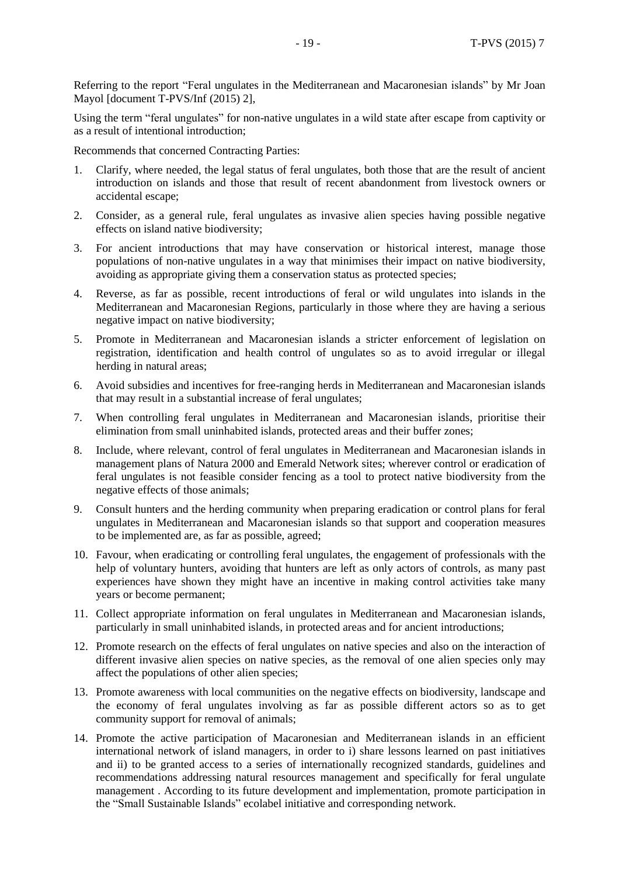Referring to the report "Feral ungulates in the Mediterranean and Macaronesian islands" by Mr Joan Mayol [document T-PVS/Inf (2015) 2],

Using the term "feral ungulates" for non-native ungulates in a wild state after escape from captivity or as a result of intentional introduction;

Recommends that concerned Contracting Parties:

- 1. Clarify, where needed, the legal status of feral ungulates, both those that are the result of ancient introduction on islands and those that result of recent abandonment from livestock owners or accidental escape;
- 2. Consider, as a general rule, feral ungulates as invasive alien species having possible negative effects on island native biodiversity;
- 3. For ancient introductions that may have conservation or historical interest, manage those populations of non-native ungulates in a way that minimises their impact on native biodiversity, avoiding as appropriate giving them a conservation status as protected species;
- 4. Reverse, as far as possible, recent introductions of feral or wild ungulates into islands in the Mediterranean and Macaronesian Regions, particularly in those where they are having a serious negative impact on native biodiversity;
- 5. Promote in Mediterranean and Macaronesian islands a stricter enforcement of legislation on registration, identification and health control of ungulates so as to avoid irregular or illegal herding in natural areas;
- 6. Avoid subsidies and incentives for free-ranging herds in Mediterranean and Macaronesian islands that may result in a substantial increase of feral ungulates;
- 7. When controlling feral ungulates in Mediterranean and Macaronesian islands, prioritise their elimination from small uninhabited islands, protected areas and their buffer zones;
- 8. Include, where relevant, control of feral ungulates in Mediterranean and Macaronesian islands in management plans of Natura 2000 and Emerald Network sites; wherever control or eradication of feral ungulates is not feasible consider fencing as a tool to protect native biodiversity from the negative effects of those animals;
- 9. Consult hunters and the herding community when preparing eradication or control plans for feral ungulates in Mediterranean and Macaronesian islands so that support and cooperation measures to be implemented are, as far as possible, agreed;
- 10. Favour, when eradicating or controlling feral ungulates, the engagement of professionals with the help of voluntary hunters, avoiding that hunters are left as only actors of controls, as many past experiences have shown they might have an incentive in making control activities take many years or become permanent;
- 11. Collect appropriate information on feral ungulates in Mediterranean and Macaronesian islands, particularly in small uninhabited islands, in protected areas and for ancient introductions;
- 12. Promote research on the effects of feral ungulates on native species and also on the interaction of different invasive alien species on native species, as the removal of one alien species only may affect the populations of other alien species;
- 13. Promote awareness with local communities on the negative effects on biodiversity, landscape and the economy of feral ungulates involving as far as possible different actors so as to get community support for removal of animals;
- 14. Promote the active participation of Macaronesian and Mediterranean islands in an efficient international network of island managers, in order to i) share lessons learned on past initiatives and ii) to be granted access to a series of internationally recognized standards, guidelines and recommendations addressing natural resources management and specifically for feral ungulate management . According to its future development and implementation, promote participation in the "Small Sustainable Islands" ecolabel initiative and corresponding network.